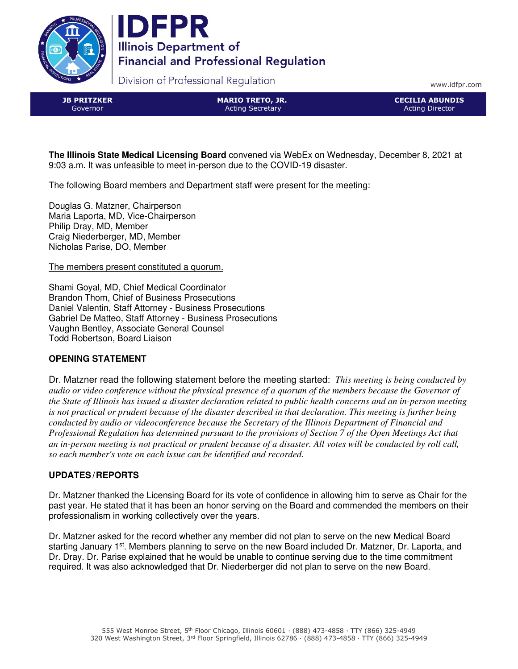



Division of Professional Regulation

www.idfpr.com

JB PRITZKER Governor

MARIO TRETO, JR. Acting Secretary

CECILIA ABUNDIS Acting Director

**The Illinois State Medical Licensing Board** convened via WebEx on Wednesday, December 8, 2021 at 9:03 a.m. It was unfeasible to meet in-person due to the COVID-19 disaster.

The following Board members and Department staff were present for the meeting:

Douglas G. Matzner, Chairperson Maria Laporta, MD, Vice-Chairperson Philip Dray, MD, Member Craig Niederberger, MD, Member Nicholas Parise, DO, Member

The members present constituted a quorum.

Shami Goyal, MD, Chief Medical Coordinator Brandon Thom, Chief of Business Prosecutions Daniel Valentin, Staff Attorney - Business Prosecutions Gabriel De Matteo, Staff Attorney - Business Prosecutions Vaughn Bentley, Associate General Counsel Todd Robertson, Board Liaison

# **OPENING STATEMENT**

Dr. Matzner read the following statement before the meeting started: *This meeting is being conducted by audio or video conference without the physical presence of a quorum of the members because the Governor of the State of Illinois has issued a disaster declaration related to public health concerns and an in-person meeting is not practical or prudent because of the disaster described in that declaration. This meeting is further being conducted by audio or videoconference because the Secretary of the Illinois Department of Financial and Professional Regulation has determined pursuant to the provisions of Section 7 of the Open Meetings Act that an in-person meeting is not practical or prudent because of a disaster. All votes will be conducted by roll call, so each member's vote on each issue can be identified and recorded.* 

# **UPDATES/REPORTS**

Dr. Matzner thanked the Licensing Board for its vote of confidence in allowing him to serve as Chair for the past year. He stated that it has been an honor serving on the Board and commended the members on their professionalism in working collectively over the years.

Dr. Matzner asked for the record whether any member did not plan to serve on the new Medical Board starting January 1<sup>st</sup>. Members planning to serve on the new Board included Dr. Matzner, Dr. Laporta, and Dr. Dray. Dr. Parise explained that he would be unable to continue serving due to the time commitment required. It was also acknowledged that Dr. Niederberger did not plan to serve on the new Board.